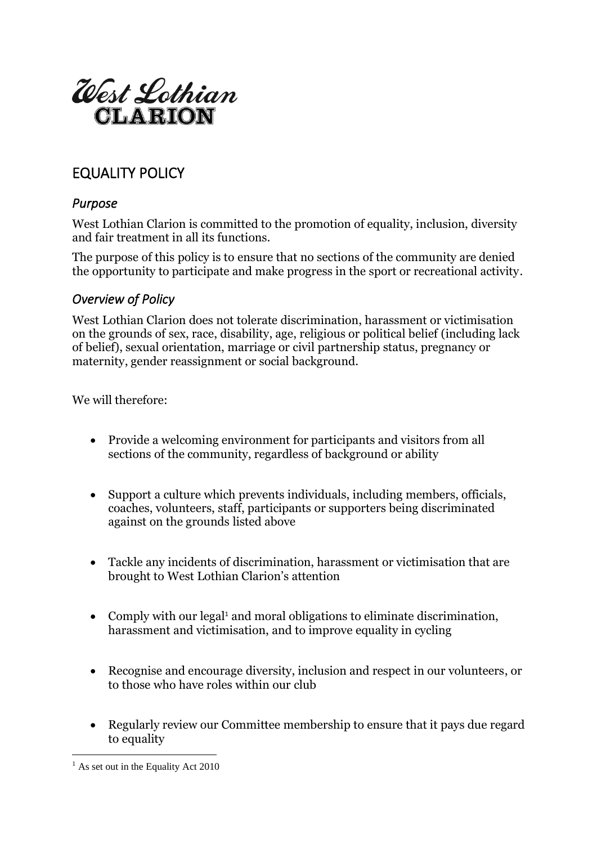

# EQUALITY POLICY

### *Purpose*

West Lothian Clarion is committed to the promotion of equality, inclusion, diversity and fair treatment in all its functions.

The purpose of this policy is to ensure that no sections of the community are denied the opportunity to participate and make progress in the sport or recreational activity.

#### *Overview of Policy*

West Lothian Clarion does not tolerate discrimination, harassment or victimisation on the grounds of sex, race, disability, age, religious or political belief (including lack of belief), sexual orientation, marriage or civil partnership status, pregnancy or maternity, gender reassignment or social background.

We will therefore:

- Provide a welcoming environment for participants and visitors from all sections of the community, regardless of background or ability
- Support a culture which prevents individuals, including members, officials, coaches, volunteers, staff, participants or supporters being discriminated against on the grounds listed above
- Tackle any incidents of discrimination, harassment or victimisation that are brought to West Lothian Clarion's attention
- Comply with our legal<sup>1</sup> and moral obligations to eliminate discrimination, harassment and victimisation, and to improve equality in cycling
- Recognise and encourage diversity, inclusion and respect in our volunteers, or to those who have roles within our club
- Regularly review our Committee membership to ensure that it pays due regard to equality

 $<sup>1</sup>$  As set out in the Equality Act 2010</sup>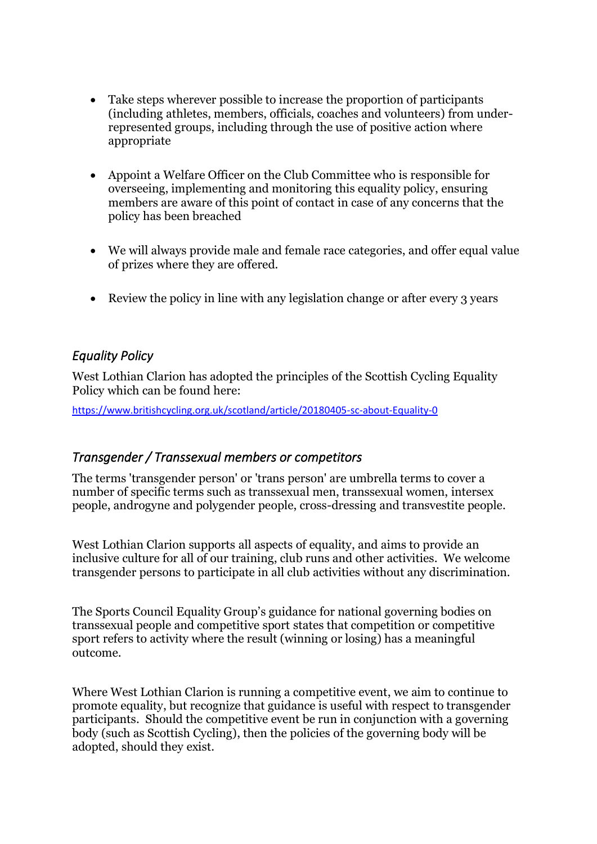- Take steps wherever possible to increase the proportion of participants (including athletes, members, officials, coaches and volunteers) from underrepresented groups, including through the use of positive action where appropriate
- Appoint a Welfare Officer on the Club Committee who is responsible for overseeing, implementing and monitoring this equality policy, ensuring members are aware of this point of contact in case of any concerns that the policy has been breached
- We will always provide male and female race categories, and offer equal value of prizes where they are offered.
- Review the policy in line with any legislation change or after every 3 years

## *Equality Policy*

West Lothian Clarion has adopted the principles of the Scottish Cycling Equality Policy which can be found here:

<https://www.britishcycling.org.uk/scotland/article/20180405-sc-about-Equality-0>

#### *Transgender / Transsexual members or competitors*

The terms 'transgender person' or 'trans person' are umbrella terms to cover a number of specific terms such as transsexual men, transsexual women, intersex people, androgyne and polygender people, cross-dressing and transvestite people.

West Lothian Clarion supports all aspects of equality, and aims to provide an inclusive culture for all of our training, club runs and other activities. We welcome transgender persons to participate in all club activities without any discrimination.

The Sports Council Equality Group's guidance for national governing bodies on transsexual people and competitive sport states that competition or competitive sport refers to activity where the result (winning or losing) has a meaningful outcome.

Where West Lothian Clarion is running a competitive event, we aim to continue to promote equality, but recognize that guidance is useful with respect to transgender participants. Should the competitive event be run in conjunction with a governing body (such as Scottish Cycling), then the policies of the governing body will be adopted, should they exist.